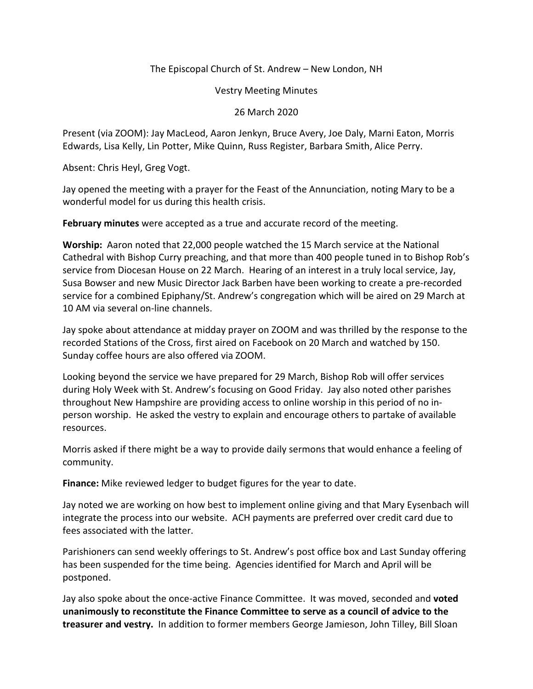## The Episcopal Church of St. Andrew – New London, NH

Vestry Meeting Minutes

26 March 2020

Present (via ZOOM): Jay MacLeod, Aaron Jenkyn, Bruce Avery, Joe Daly, Marni Eaton, Morris Edwards, Lisa Kelly, Lin Potter, Mike Quinn, Russ Register, Barbara Smith, Alice Perry.

Absent: Chris Heyl, Greg Vogt.

Jay opened the meeting with a prayer for the Feast of the Annunciation, noting Mary to be a wonderful model for us during this health crisis.

**February minutes** were accepted as a true and accurate record of the meeting.

**Worship:** Aaron noted that 22,000 people watched the 15 March service at the National Cathedral with Bishop Curry preaching, and that more than 400 people tuned in to Bishop Rob's service from Diocesan House on 22 March. Hearing of an interest in a truly local service, Jay, Susa Bowser and new Music Director Jack Barben have been working to create a pre-recorded service for a combined Epiphany/St. Andrew's congregation which will be aired on 29 March at 10 AM via several on-line channels.

Jay spoke about attendance at midday prayer on ZOOM and was thrilled by the response to the recorded Stations of the Cross, first aired on Facebook on 20 March and watched by 150. Sunday coffee hours are also offered via ZOOM.

Looking beyond the service we have prepared for 29 March, Bishop Rob will offer services during Holy Week with St. Andrew's focusing on Good Friday. Jay also noted other parishes throughout New Hampshire are providing access to online worship in this period of no inperson worship. He asked the vestry to explain and encourage others to partake of available resources.

Morris asked if there might be a way to provide daily sermons that would enhance a feeling of community.

**Finance:** Mike reviewed ledger to budget figures for the year to date.

Jay noted we are working on how best to implement online giving and that Mary Eysenbach will integrate the process into our website. ACH payments are preferred over credit card due to fees associated with the latter.

Parishioners can send weekly offerings to St. Andrew's post office box and Last Sunday offering has been suspended for the time being. Agencies identified for March and April will be postponed.

Jay also spoke about the once-active Finance Committee. It was moved, seconded and **voted unanimously to reconstitute the Finance Committee to serve as a council of advice to the treasurer and vestry.** In addition to former members George Jamieson, John Tilley, Bill Sloan